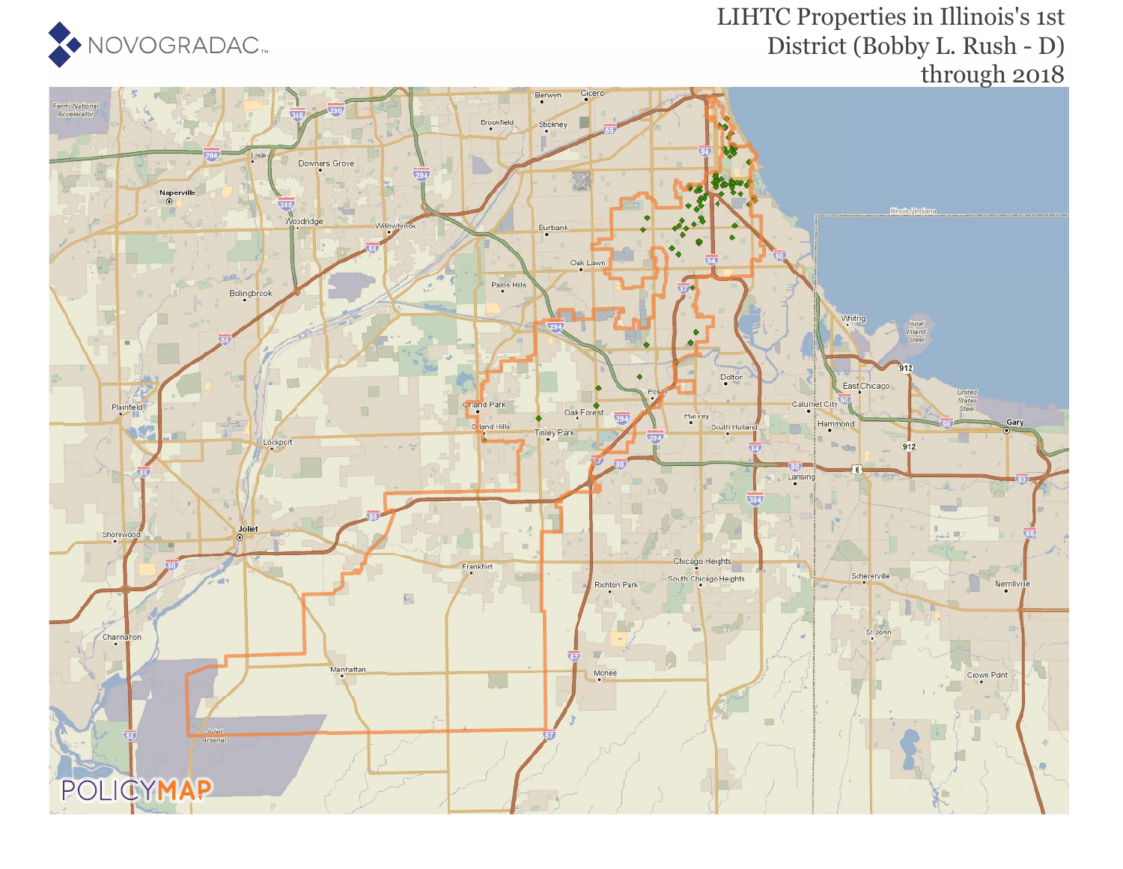

#### LIHTC Properties in Illinois's 1st District (Bobby L. Rush - D) through 2018

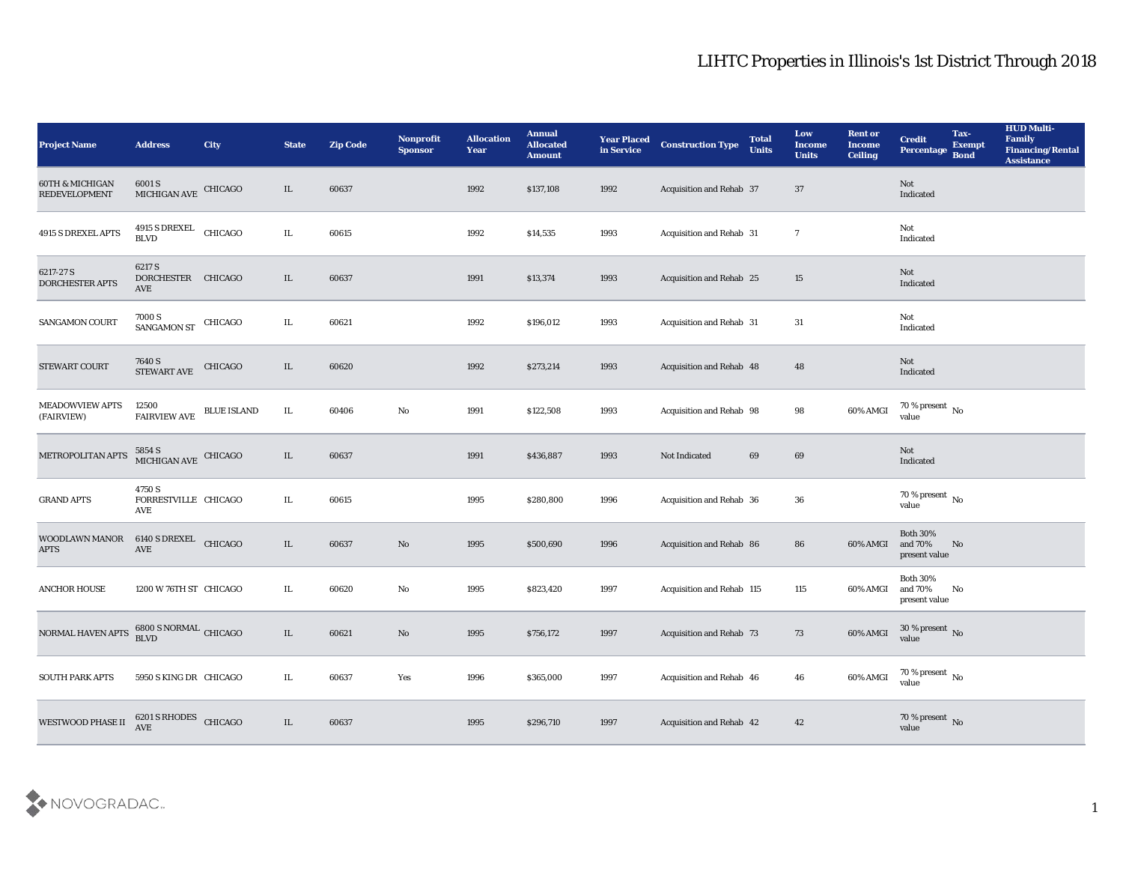| <b>Project Name</b>                                | <b>Address</b>                                                                                                      | <b>City</b>        | <b>State</b> | <b>Zip Code</b> | Nonprofit<br><b>Sponsor</b> | <b>Allocation</b><br><b>Year</b> | <b>Annual</b><br><b>Allocated</b><br><b>Amount</b> | <b>Year Placed</b><br>in Service | <b>Construction Type</b>        | <b>Total</b><br><b>Units</b> | Low<br><b>Income</b><br><b>Units</b> | <b>Rent or</b><br><b>Income</b><br><b>Ceiling</b> | <b>Credit</b><br>Percentage                 | Tax-<br><b>Exempt</b><br><b>Bond</b> | <b>HUD Multi-</b><br>Family<br><b>Financing/Rental</b><br><b>Assistance</b> |
|----------------------------------------------------|---------------------------------------------------------------------------------------------------------------------|--------------------|--------------|-----------------|-----------------------------|----------------------------------|----------------------------------------------------|----------------------------------|---------------------------------|------------------------------|--------------------------------------|---------------------------------------------------|---------------------------------------------|--------------------------------------|-----------------------------------------------------------------------------|
| <b>60TH &amp; MICHIGAN</b><br><b>REDEVELOPMENT</b> | 6001 S<br>MICHIGAN AVE CHICAGO                                                                                      |                    | IL           | 60637           |                             | 1992                             | \$137,108                                          | 1992                             | Acquisition and Rehab 37        |                              | 37                                   |                                                   | Not<br>Indicated                            |                                      |                                                                             |
| 4915 S DREXEL APTS                                 | 4915 S DREXEL<br>BLVD                                                                                               | CHICAGO            | IL.          | 60615           |                             | 1992                             | \$14,535                                           | 1993                             | Acquisition and Rehab 31        |                              | $\overline{7}$                       |                                                   | Not<br>Indicated                            |                                      |                                                                             |
| 6217-27 S<br><b>DORCHESTER APTS</b>                | 6217 S<br>DORCHESTER CHICAGO<br>AVE                                                                                 |                    | IL           | 60637           |                             | 1991                             | \$13,374                                           | 1993                             | Acquisition and Rehab 25        |                              | 15                                   |                                                   | Not<br>Indicated                            |                                      |                                                                             |
| SANGAMON COURT                                     | 7000 S<br>SANGAMON ST                                                                                               | <b>CHICAGO</b>     | IL           | 60621           |                             | 1992                             | \$196,012                                          | 1993                             | Acquisition and Rehab 31        |                              | 31                                   |                                                   | Not<br>Indicated                            |                                      |                                                                             |
| <b>STEWART COURT</b>                               | 7640 S<br>STEWART AVE                                                                                               | CHICAGO            | IL           | 60620           |                             | 1992                             | \$273,214                                          | 1993                             | Acquisition and Rehab 48        |                              | 48                                   |                                                   | Not<br>Indicated                            |                                      |                                                                             |
| <b>MEADOWVIEW APTS</b><br>(FAIRVIEW)               | 12500<br><b>FAIRVIEW AVE</b>                                                                                        | <b>BLUE ISLAND</b> | IL           | 60406           | $\mathbf {No}$              | 1991                             | \$122,508                                          | 1993                             | Acquisition and Rehab 98        |                              | 98                                   | 60% AMGI                                          | $70\,\%$ present $\,$ No value              |                                      |                                                                             |
| METROPOLITAN APTS                                  | $\begin{array}{r} 5854 \text{ S} \\ \text{MICHIGAN AVE} \end{array} \begin{array}{c} \text{CHICAGO} \\ \end{array}$ |                    | IL           | 60637           |                             | 1991                             | \$436,887                                          | 1993                             | Not Indicated                   | 69                           | 69                                   |                                                   | Not<br>Indicated                            |                                      |                                                                             |
| <b>GRAND APTS</b>                                  | 4750 S<br>FORRESTVILLE CHICAGO<br>AVE                                                                               |                    | IL           | 60615           |                             | 1995                             | \$280,800                                          | 1996                             | Acquisition and Rehab 36        |                              | 36                                   |                                                   | 70 % present $\,$ No $\,$<br>value          |                                      |                                                                             |
| WOODLAWN MANOR<br><b>APTS</b>                      | 6140 S DREXEL<br>AVE                                                                                                | CHICAGO            | IL           | 60637           | No                          | 1995                             | \$500,690                                          | 1996                             | Acquisition and Rehab 86        |                              | 86                                   | 60% AMGI                                          | <b>Both 30%</b><br>and 70%<br>present value | No                                   |                                                                             |
| <b>ANCHOR HOUSE</b>                                | 1200 W 76TH ST CHICAGO                                                                                              |                    | IL           | 60620           | $\rm\thinspace No$          | 1995                             | \$823,420                                          | 1997                             | Acquisition and Rehab 115       |                              | 115                                  | 60% AMGI                                          | <b>Both 30%</b><br>and 70%<br>present value | No                                   |                                                                             |
| NORMAL HAVEN APTS                                  | 6800 S NORMAL CHICAGO<br><b>BLVD</b>                                                                                |                    | IL           | 60621           | No                          | 1995                             | \$756,172                                          | 1997                             | <b>Acquisition and Rehab 73</b> |                              | 73                                   | 60% AMGI                                          | 30 % present $\overline{N_0}$<br>value      |                                      |                                                                             |
| <b>SOUTH PARK APTS</b>                             | 5950 S KING DR CHICAGO                                                                                              |                    | IL           | 60637           | Yes                         | 1996                             | \$365,000                                          | 1997                             | Acquisition and Rehab 46        |                              | 46                                   | 60% AMGI                                          | $70\,\%$ present $\,$ No value              |                                      |                                                                             |
| <b>WESTWOOD PHASE II</b>                           | 6201 S RHODES<br><b>AVE</b>                                                                                         | CHICAGO            | $\rm IL$     | 60637           |                             | 1995                             | \$296,710                                          | 1997                             | Acquisition and Rehab 42        |                              | 42                                   |                                                   | $70\,\%$ present $\,$ No value              |                                      |                                                                             |

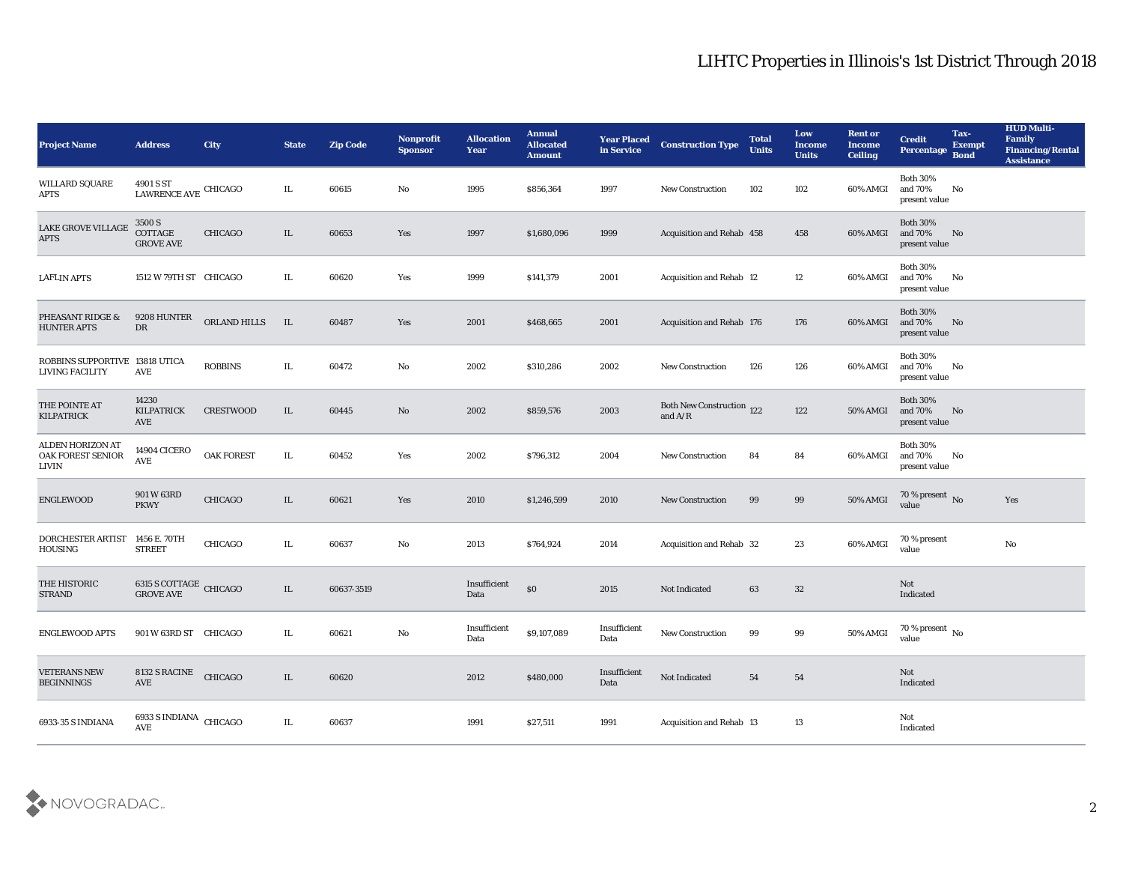| <b>Project Name</b>                               | <b>Address</b>                                 | <b>City</b>       | <b>State</b> | <b>Zip Code</b> | Nonprofit<br><b>Sponsor</b> | <b>Allocation</b><br>Year | <b>Annual</b><br><b>Allocated</b><br><b>Amount</b> | <b>Year Placed</b><br>in Service | <b>Construction Type</b>                                                           | <b>Total</b><br><b>Units</b> | Low<br><b>Income</b><br><b>Units</b> | <b>Rent or</b><br>Income<br><b>Ceiling</b> | <b>Credit</b><br>Percentage                 | Tax-<br><b>Exempt</b><br><b>Bond</b> | <b>HUD Multi-</b><br>Family<br><b>Financing/Rental</b><br><b>Assistance</b> |
|---------------------------------------------------|------------------------------------------------|-------------------|--------------|-----------------|-----------------------------|---------------------------|----------------------------------------------------|----------------------------------|------------------------------------------------------------------------------------|------------------------------|--------------------------------------|--------------------------------------------|---------------------------------------------|--------------------------------------|-----------------------------------------------------------------------------|
| <b>WILLARD SQUARE</b><br><b>APTS</b>              | 4901 S ST<br>LAWRENCE AVE CHICAGO              |                   | IL           | 60615           | No                          | 1995                      | \$856,364                                          | 1997                             | <b>New Construction</b>                                                            | 102                          | 102                                  | 60% AMGI                                   | <b>Both 30%</b><br>and 70%<br>present value | No                                   |                                                                             |
| LAKE GROVE VILLAGE<br><b>APTS</b>                 | 3500 S<br>COTTAGE<br><b>GROVE AVE</b>          | <b>CHICAGO</b>    | IL           | 60653           | Yes                         | 1997                      | \$1,680,096                                        | 1999                             | Acquisition and Rehab 458                                                          |                              | 458                                  | 60% AMGI                                   | <b>Both 30%</b><br>and 70%<br>present value | No                                   |                                                                             |
| <b>LAFLIN APTS</b>                                | 1512 W 79TH ST CHICAGO                         |                   | IL           | 60620           | Yes                         | 1999                      | \$141,379                                          | 2001                             | Acquisition and Rehab 12                                                           |                              | 12                                   | 60% AMGI                                   | <b>Both 30%</b><br>and 70%<br>present value | No                                   |                                                                             |
| PHEASANT RIDGE &<br><b>HUNTER APTS</b>            | 9208 HUNTER<br>DR                              | ORLAND HILLS      | IL           | 60487           | Yes                         | 2001                      | \$468,665                                          | 2001                             | Acquisition and Rehab 176                                                          |                              | 176                                  | 60% AMGI                                   | <b>Both 30%</b><br>and 70%<br>present value | No                                   |                                                                             |
| ROBBINS SUPPORTIVE 13818 UTICA<br>LIVING FACILITY | AVE                                            | <b>ROBBINS</b>    | IL.          | 60472           | No                          | 2002                      | \$310,286                                          | 2002                             | <b>New Construction</b>                                                            | 126                          | 126                                  | 60% AMGI                                   | <b>Both 30%</b><br>and 70%<br>present value | No                                   |                                                                             |
| THE POINTE AT<br><b>KILPATRICK</b>                | 14230<br><b>KILPATRICK</b><br>AVE              | <b>CRESTWOOD</b>  | IL           | 60445           | No                          | 2002                      | \$859,576                                          | 2003                             | Both New Construction 122<br>and $\ensuremath{\mathrm{A}}/\ensuremath{\mathrm{R}}$ |                              | 122                                  | <b>50% AMGI</b>                            | <b>Both 30%</b><br>and 70%<br>present value | No                                   |                                                                             |
| ALDEN HORIZON AT<br>OAK FOREST SENIOR<br>LIVIN    | <b>14904 CICERO</b><br><b>AVE</b>              | <b>OAK FOREST</b> | IL           | 60452           | Yes                         | 2002                      | \$796,312                                          | 2004                             | <b>New Construction</b>                                                            | 84                           | 84                                   | 60% AMGI                                   | <b>Both 30%</b><br>and 70%<br>present value | No                                   |                                                                             |
| ENGLEWOOD                                         | 901 W 63RD<br><b>PKWY</b>                      | <b>CHICAGO</b>    | IL           | 60621           | Yes                         | 2010                      | \$1,246,599                                        | 2010                             | <b>New Construction</b>                                                            | 99                           | 99                                   | 50% AMGI                                   | 70 % present $\hbox{~No}$<br>value          |                                      | Yes                                                                         |
| DORCHESTER ARTIST<br><b>HOUSING</b>               | 1456 E. 70TH<br><b>STREET</b>                  | CHICAGO           | IL           | 60637           | No                          | 2013                      | \$764,924                                          | 2014                             | Acquisition and Rehab 32                                                           |                              | 23                                   | 60% AMGI                                   | 70 % present<br>value                       |                                      | $\mathbf{N}\mathbf{o}$                                                      |
| THE HISTORIC<br><b>STRAND</b>                     | 6315 S COTTAGE CHICAGO<br><b>GROVE AVE</b>     |                   | IL.          | 60637-3519      |                             | Insufficient<br>Data      | \$0                                                | 2015                             | Not Indicated                                                                      | 63                           | 32                                   |                                            | Not<br>Indicated                            |                                      |                                                                             |
| <b>ENGLEWOOD APTS</b>                             | 901 W 63RD ST CHICAGO                          |                   | IL.          | 60621           | No                          | Insufficient<br>Data      | \$9,107,089                                        | Insufficient<br>Data             | New Construction                                                                   | 99                           | 99                                   | <b>50% AMGI</b>                            | 70 % present $\,$ No $\,$<br>value          |                                      |                                                                             |
| <b>VETERANS NEW</b><br><b>BEGINNINGS</b>          | 8132 S RACINE<br>AVE                           | CHICAGO           | IL           | 60620           |                             | 2012                      | \$480,000                                          | Insufficient<br>Data             | Not Indicated                                                                      | 54                           | ${\bf 54}$                           |                                            | $\operatorname{\bf Not}$<br>Indicated       |                                      |                                                                             |
| 6933-35 S INDIANA                                 | 6933 S INDIANA CHICAGO<br>$\operatorname{AVE}$ |                   | IL.          | 60637           |                             | 1991                      | \$27,511                                           | 1991                             | Acquisition and Rehab 13                                                           |                              | 13                                   |                                            | Not<br>Indicated                            |                                      |                                                                             |

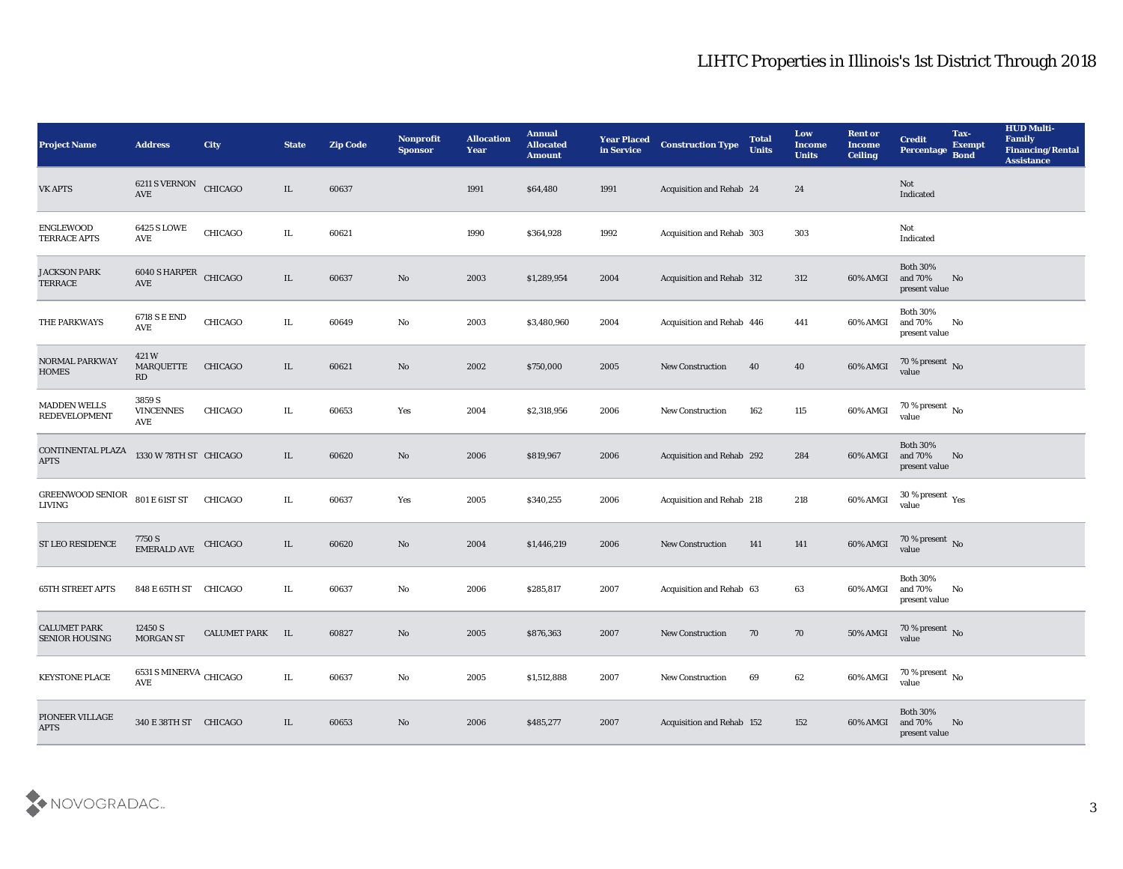| <b>Project Name</b>                          | <b>Address</b>                        | City                   | <b>State</b> | <b>Zip Code</b> | <b>Nonprofit</b><br><b>Sponsor</b> | <b>Allocation</b><br><b>Year</b> | <b>Annual</b><br><b>Allocated</b><br><b>Amount</b> | <b>Year Placed</b><br>in Service | <b>Construction Type</b>  | <b>Total</b><br><b>Units</b> | Low<br><b>Income</b><br><b>Units</b> | <b>Rent or</b><br><b>Income</b><br><b>Ceiling</b> | <b>Credit</b><br>Percentage                          | Tax-<br><b>Exempt</b><br><b>Bond</b> | <b>HUD Multi-</b><br>Family<br><b>Financing/Rental</b><br><b>Assistance</b> |
|----------------------------------------------|---------------------------------------|------------------------|--------------|-----------------|------------------------------------|----------------------------------|----------------------------------------------------|----------------------------------|---------------------------|------------------------------|--------------------------------------|---------------------------------------------------|------------------------------------------------------|--------------------------------------|-----------------------------------------------------------------------------|
| <b>VK APTS</b>                               | 6211 S VERNON<br>$\operatorname{AVE}$ | CHICAGO                | IL           | 60637           |                                    | 1991                             | \$64,480                                           | 1991                             | Acquisition and Rehab 24  |                              | 24                                   |                                                   | Not<br>Indicated                                     |                                      |                                                                             |
| <b>ENGLEWOOD</b><br>TERRACE APTS             | <b>6425 S LOWE</b><br>AVE             | CHICAGO                | IL           | 60621           |                                    | 1990                             | \$364,928                                          | 1992                             | Acquisition and Rehab 303 |                              | 303                                  |                                                   | Not<br>Indicated                                     |                                      |                                                                             |
| <b>JACKSON PARK</b><br><b>TERRACE</b>        | 6040 S HARPER<br>$\operatorname{AVE}$ | CHICAGO                | IL           | 60637           | No                                 | 2003                             | \$1,289,954                                        | 2004                             | Acquisition and Rehab 312 |                              | 312                                  | 60% AMGI                                          | <b>Both 30%</b><br>and 70%<br>present value          | No                                   |                                                                             |
| THE PARKWAYS                                 | 6718 S E END<br>AVE                   | CHICAGO                | IL           | 60649           | No                                 | 2003                             | \$3,480,960                                        | 2004                             | Acquisition and Rehab 446 |                              | 441                                  | 60% AMGI                                          | <b>Both 30%</b><br>and 70%<br>present value          | No                                   |                                                                             |
| NORMAL PARKWAY<br><b>HOMES</b>               | 421 W<br><b>MARQUETTE</b><br>RD       | <b>CHICAGO</b>         | IL           | 60621           | No                                 | 2002                             | \$750,000                                          | 2005                             | <b>New Construction</b>   | 40                           | 40                                   | 60% AMGI                                          | $70\,\%$ present $\,$ No value                       |                                      |                                                                             |
| <b>MADDEN WELLS</b><br>REDEVELOPMENT         | 3859 S<br><b>VINCENNES</b><br>AVE     | CHICAGO                | IL           | 60653           | Yes                                | 2004                             | \$2,318,956                                        | 2006                             | <b>New Construction</b>   | 162                          | 115                                  | 60% AMGI                                          | 70 % present $\,$ No $\,$<br>value                   |                                      |                                                                             |
| CONTINENTAL PLAZA<br><b>APTS</b>             | 1330 W 78TH ST CHICAGO                |                        | IL.          | 60620           | No                                 | 2006                             | \$819,967                                          | 2006                             | Acquisition and Rehab 292 |                              | 284                                  | 60% AMGI                                          | <b>Both 30%</b><br>and 70%<br>present value          | No                                   |                                                                             |
| GREENWOOD SENIOR<br>LIVING                   | 801 E 61ST ST                         | CHICAGO                | IL.          | 60637           | Yes                                | 2005                             | \$340,255                                          | 2006                             | Acquisition and Rehab 218 |                              | 218                                  | 60% AMGI                                          | 30 % present $\rm\thinspace\gamma_{\rm es}$<br>value |                                      |                                                                             |
| <b>ST LEO RESIDENCE</b>                      | 7750 S<br><b>EMERALD AVE</b>          | CHICAGO                | IL           | 60620           | No                                 | 2004                             | \$1,446,219                                        | 2006                             | <b>New Construction</b>   | 141                          | 141                                  | 60% AMGI                                          | 70 % present $\,$ No $\,$<br>value                   |                                      |                                                                             |
| <b>65TH STREET APTS</b>                      | 848 E 65TH ST CHICAGO                 |                        | IL           | 60637           | No                                 | 2006                             | \$285,817                                          | 2007                             | Acquisition and Rehab 63  |                              | 63                                   | 60% AMGI                                          | <b>Both 30%</b><br>and 70%<br>present value          | No                                   |                                                                             |
| <b>CALUMET PARK</b><br><b>SENIOR HOUSING</b> | 12450 S<br><b>MORGAN ST</b>           | <b>CALUMET PARK IL</b> |              | 60827           | No                                 | 2005                             | \$876,363                                          | 2007                             | New Construction          | 70                           | 70                                   | <b>50% AMGI</b>                                   | 70 % present No<br>value                             |                                      |                                                                             |
| <b>KEYSTONE PLACE</b>                        | 6531 S MINERVA CHICAGO<br>AVE         |                        | IL.          | 60637           | $\rm\thinspace No$                 | 2005                             | \$1,512,888                                        | 2007                             | New Construction          | 69                           | 62                                   | 60% AMGI                                          | $70\,\%$ present $\,$ No value                       |                                      |                                                                             |
| PIONEER VILLAGE<br><b>APTS</b>               | 340 E 38TH ST CHICAGO                 |                        | IL           | 60653           | $\rm\thinspace No$                 | 2006                             | \$485,277                                          | 2007                             | Acquisition and Rehab 152 |                              | 152                                  | 60% AMGI                                          | Both $30\%$<br>and $70\%$<br>present value           | No                                   |                                                                             |

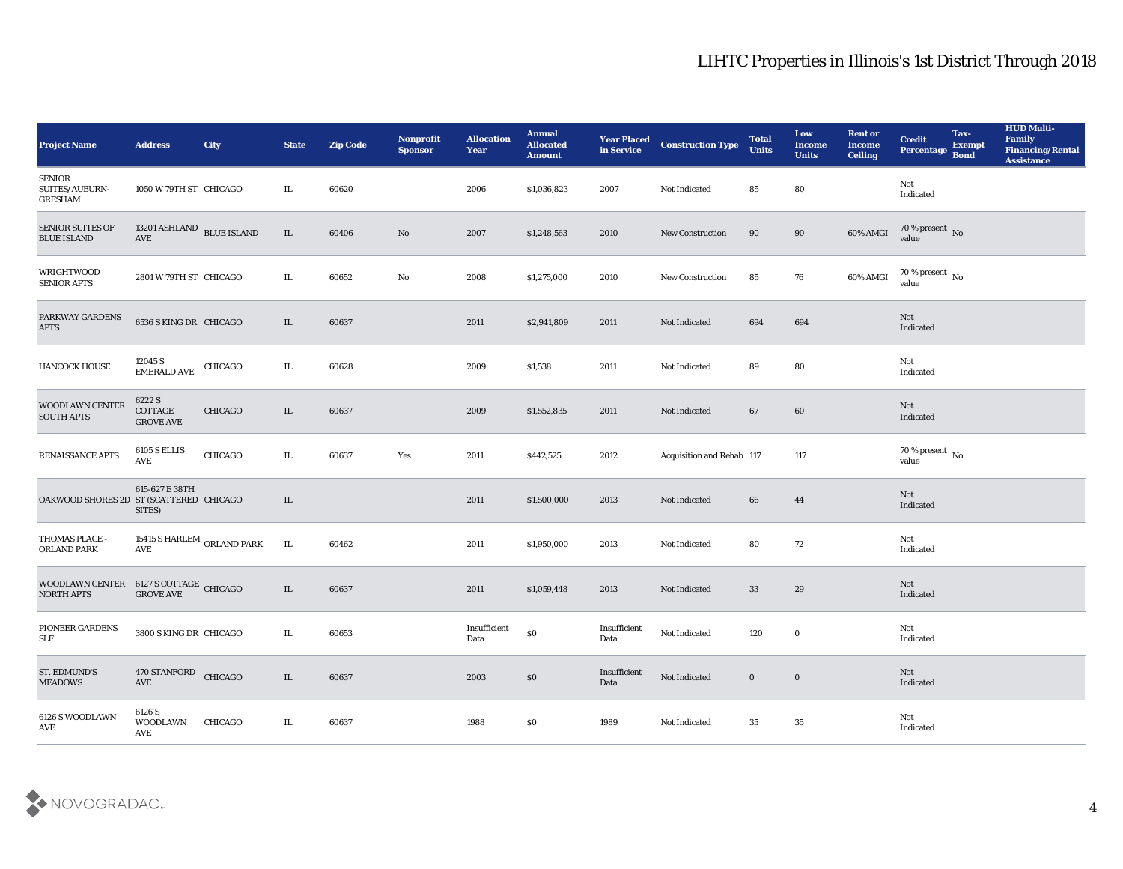| <b>Project Name</b>                                                                                                                                                                                     | <b>Address</b>                        | City                            | <b>State</b> | <b>Zip Code</b> | Nonprofit<br><b>Sponsor</b> | <b>Allocation</b><br><b>Year</b> | <b>Annual</b><br><b>Allocated</b><br><b>Amount</b> | <b>Year Placed</b><br>in Service | <b>Construction Type</b>  | <b>Total</b><br><b>Units</b> | Low<br><b>Income</b><br><b>Units</b> | <b>Rent or</b><br><b>Income</b><br><b>Ceiling</b> | <b>Credit</b><br>Percentage           | Tax-<br><b>Exempt</b><br><b>Bond</b> | <b>HUD Multi-</b><br>Family<br>Financing/Rental<br><b>Assistance</b> |
|---------------------------------------------------------------------------------------------------------------------------------------------------------------------------------------------------------|---------------------------------------|---------------------------------|--------------|-----------------|-----------------------------|----------------------------------|----------------------------------------------------|----------------------------------|---------------------------|------------------------------|--------------------------------------|---------------------------------------------------|---------------------------------------|--------------------------------------|----------------------------------------------------------------------|
| SENIOR<br>SUITES/AUBURN-<br><b>GRESHAM</b>                                                                                                                                                              | 1050 W 79TH ST CHICAGO                |                                 | IL           | 60620           |                             | 2006                             | \$1,036,823                                        | 2007                             | Not Indicated             | 85                           | 80                                   |                                                   | Not<br>Indicated                      |                                      |                                                                      |
| <b>SENIOR SUITES OF</b><br><b>BLUE ISLAND</b>                                                                                                                                                           | 13201 ASHLAND BLUE ISLAND<br>AVE      |                                 | IL           | 60406           | No                          | 2007                             | \$1,248,563                                        | 2010                             | <b>New Construction</b>   | 90                           | 90                                   | 60% AMGI                                          | $\frac{70\%}{value}$ No               |                                      |                                                                      |
| WRIGHTWOOD<br><b>SENIOR APTS</b>                                                                                                                                                                        | 2801 W 79TH ST CHICAGO                |                                 | IL           | 60652           | No                          | 2008                             | \$1,275,000                                        | 2010                             | <b>New Construction</b>   | 85                           | 76                                   | 60% AMGI                                          | 70 % present $\,$ No $\,$<br>value    |                                      |                                                                      |
| PARKWAY GARDENS<br><b>APTS</b>                                                                                                                                                                          | 6536 S KING DR CHICAGO                |                                 | IL.          | 60637           |                             | 2011                             | \$2,941,809                                        | 2011                             | Not Indicated             | 694                          | 694                                  |                                                   | Not<br>Indicated                      |                                      |                                                                      |
| HANCOCK HOUSE                                                                                                                                                                                           | 12045 S<br><b>EMERALD AVE</b>         | CHICAGO                         | IL           | 60628           |                             | 2009                             | \$1,538                                            | 2011                             | <b>Not Indicated</b>      | 89                           | 80                                   |                                                   | Not<br>Indicated                      |                                      |                                                                      |
| WOODLAWN CENTER<br><b>SOUTH APTS</b>                                                                                                                                                                    | 6222 S<br>COTTAGE<br><b>GROVE AVE</b> | CHICAGO                         | IL           | 60637           |                             | 2009                             | \$1,552,835                                        | 2011                             | Not Indicated             | 67                           | 60                                   |                                                   | Not<br>Indicated                      |                                      |                                                                      |
| <b>RENAISSANCE APTS</b>                                                                                                                                                                                 | 6105 S ELLIS<br>AVE                   | CHICAGO                         | IL           | 60637           | Yes                         | 2011                             | \$442,525                                          | 2012                             | Acquisition and Rehab 117 |                              | 117                                  |                                                   | $70\,\%$ present $\,$ No value        |                                      |                                                                      |
| OAKWOOD SHORES 2D ST (SCATTERED CHICAGO                                                                                                                                                                 | 615-627 E 38TH<br>SITES)              |                                 | IL           |                 |                             | 2011                             | \$1,500,000                                        | 2013                             | Not Indicated             | 66                           | 44                                   |                                                   | Not<br>Indicated                      |                                      |                                                                      |
| THOMAS PLACE -<br>ORLAND PARK                                                                                                                                                                           | AVE                                   | 15415 S HARLEM $\,$ ORLAND PARK | IL           | 60462           |                             | 2011                             | \$1,950,000                                        | 2013                             | Not Indicated             | 80                           | 72                                   |                                                   | Not<br>Indicated                      |                                      |                                                                      |
| $\begin{tabular}{ll} \textbf{WOODLAWN CENTER} & 6127 \textbf{S COTTAGE} \\ \textbf{NORTH APTS} & \textbf{GROVE AVE} \\ \end{tabular} \begin{tabular}{ll} \textbf{C} & \textbf{HICAGO} \\ \end{tabular}$ |                                       |                                 | IL           | 60637           |                             | 2011                             | \$1,059,448                                        | 2013                             | Not Indicated             | 33                           | 29                                   |                                                   | Not<br>Indicated                      |                                      |                                                                      |
| PIONEER GARDENS<br>$\ensuremath{\mathsf{SLF}}$                                                                                                                                                          | 3800 S KING DR CHICAGO                |                                 | IL           | 60653           |                             | Insufficient<br>Data             | $\$0$                                              | Insufficient<br>Data             | Not Indicated             | 120                          | $\bf{0}$                             |                                                   | Not<br>Indicated                      |                                      |                                                                      |
| ST. EDMUND'S<br><b>MEADOWS</b>                                                                                                                                                                          | 470 STANFORD<br>AVE                   | CHICAGO                         | $\rm IL$     | 60637           |                             | 2003                             | $\$0$                                              | Insufficient<br>Data             | Not Indicated             | $\bf{0}$                     | $\bf{0}$                             |                                                   | $\operatorname{\bf Not}$<br>Indicated |                                      |                                                                      |
| 6126 S WOODLAWN<br>$\operatorname{AVE}$                                                                                                                                                                 | 6126 S<br>WOODLAWN<br>AVE             | CHICAGO                         | IL           | 60637           |                             | 1988                             | \$0                                                | 1989                             | Not Indicated             | 35                           | $35\,$                               |                                                   | Not<br>Indicated                      |                                      |                                                                      |

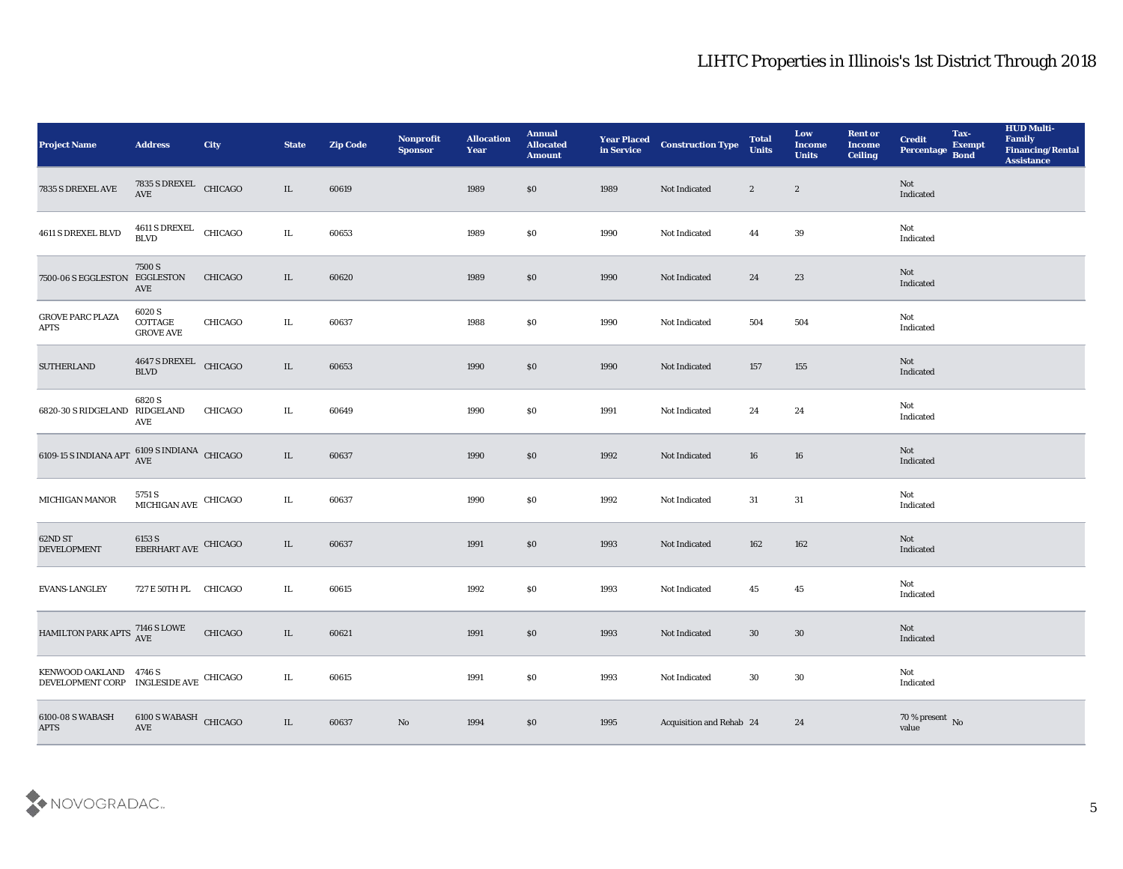| <b>Project Name</b>                                              | <b>Address</b>                                         | <b>City</b> | <b>State</b> | <b>Zip Code</b> | Nonprofit<br><b>Sponsor</b> | <b>Allocation</b><br><b>Year</b> | <b>Annual</b><br><b>Allocated</b><br><b>Amount</b> | <b>Year Placed<br/>in Service</b> | <b>Construction Type</b> | <b>Total</b><br><b>Units</b> | Low<br><b>Income</b><br><b>Units</b> | <b>Rent or</b><br><b>Income</b><br><b>Ceiling</b> | <b>Credit</b><br>Percentage    | Tax-<br><b>Exempt</b><br><b>Bond</b> | <b>HUD Multi-</b><br>Family<br><b>Financing/Rental</b><br><b>Assistance</b> |
|------------------------------------------------------------------|--------------------------------------------------------|-------------|--------------|-----------------|-----------------------------|----------------------------------|----------------------------------------------------|-----------------------------------|--------------------------|------------------------------|--------------------------------------|---------------------------------------------------|--------------------------------|--------------------------------------|-----------------------------------------------------------------------------|
| 7835 S DREXEL AVE                                                | $7835$ S DREXEL $\quad$ CHICAGO AVE                    |             | IL           | 60619           |                             | 1989                             | $\$0$                                              | 1989                              | Not Indicated            | $\mathbf{2}$                 | $\mathbf{2}$                         |                                                   | Not<br>Indicated               |                                      |                                                                             |
| 4611 S DREXEL BLVD                                               | $4611$ S DREXEL $$\rm CHICAGO$$                        |             | $\rm IL$     | 60653           |                             | 1989                             | \$0                                                | 1990                              | Not Indicated            | 44                           | 39                                   |                                                   | Not<br>Indicated               |                                      |                                                                             |
| 7500-06 S EGGLESTON EGGLESTON                                    | 7500 S<br>AVE                                          | CHICAGO     | IL           | 60620           |                             | 1989                             | $\$0$                                              | 1990                              | Not Indicated            | 24                           | 23                                   |                                                   | Not<br>Indicated               |                                      |                                                                             |
| <b>GROVE PARC PLAZA</b><br><b>APTS</b>                           | 6020 S<br>$\operatorname{COTTAGE}$<br><b>GROVE AVE</b> | CHICAGO     | IL           | 60637           |                             | 1988                             | \$0                                                | 1990                              | Not Indicated            | 504                          | 504                                  |                                                   | Not<br>Indicated               |                                      |                                                                             |
| <b>SUTHERLAND</b>                                                | 4647 S DREXEL<br>BLVD                                  | CHICAGO     | IL           | 60653           |                             | 1990                             | $\$0$                                              | 1990                              | Not Indicated            | 157                          | 155                                  |                                                   | Not<br>Indicated               |                                      |                                                                             |
| 6820-30 S RIDGELAND RIDGELAND                                    | 6820 S<br>AVE                                          | CHICAGO     | IL           | 60649           |                             | 1990                             | \$0                                                | 1991                              | Not Indicated            | 24                           | 24                                   |                                                   | Not<br>Indicated               |                                      |                                                                             |
| 6109-15 S INDIANA APT $\frac{6109}{\rm AVE}$ SINDIANA CHICAGO    |                                                        |             | IL           | 60637           |                             | 1990                             | $\$0$                                              | 1992                              | Not Indicated            | 16                           | 16                                   |                                                   | Not<br>Indicated               |                                      |                                                                             |
| MICHIGAN MANOR                                                   | $5751$ S $$\,$ MICHIGAN AVE $$\,$ CHICAGO $$\,$        |             | IL           | 60637           |                             | 1990                             | \$0                                                | 1992                              | Not Indicated            | 31                           | 31                                   |                                                   | Not<br>Indicated               |                                      |                                                                             |
| 62ND ST<br><b>DEVELOPMENT</b>                                    | $6153$ S $$\,$ CHICAGO $$\,$ CHICAGO $$\,$             |             | IL           | 60637           |                             | 1991                             | $\$0$                                              | 1993                              | Not Indicated            | 162                          | 162                                  |                                                   | Not<br>Indicated               |                                      |                                                                             |
| <b>EVANS-LANGLEY</b>                                             | 727 E 50TH PL CHICAGO                                  |             | IL           | 60615           |                             | 1992                             | \$0                                                | 1993                              | Not Indicated            | 45                           | 45                                   |                                                   | Not<br>Indicated               |                                      |                                                                             |
| HAMILTON PARK APTS 7146 S LOWE                                   |                                                        | CHICAGO     | IL           | 60621           |                             | 1991                             | $\$0$                                              | 1993                              | Not Indicated            | 30                           | 30                                   |                                                   | Not<br>Indicated               |                                      |                                                                             |
| KENWOOD OAKLAND 4746 S<br>DEVELOPMENT CORP INGLESIDE AVE CHICAGO |                                                        |             | $\rm IL$     | 60615           |                             | 1991                             | $\$0$                                              | 1993                              | Not Indicated            | $30\,$                       | $30\,$                               |                                                   | Not<br>Indicated               |                                      |                                                                             |
| 6100-08 S WABASH<br><b>APTS</b>                                  | $6100$ S WABASH $\,$ CHICAGO AVE                       |             | IL           | 60637           | $\rm\thinspace No$          | 1994                             | $\$0$                                              | 1995                              | Acquisition and Rehab 24 |                              | 24                                   |                                                   | $70\,\%$ present $\,$ No value |                                      |                                                                             |

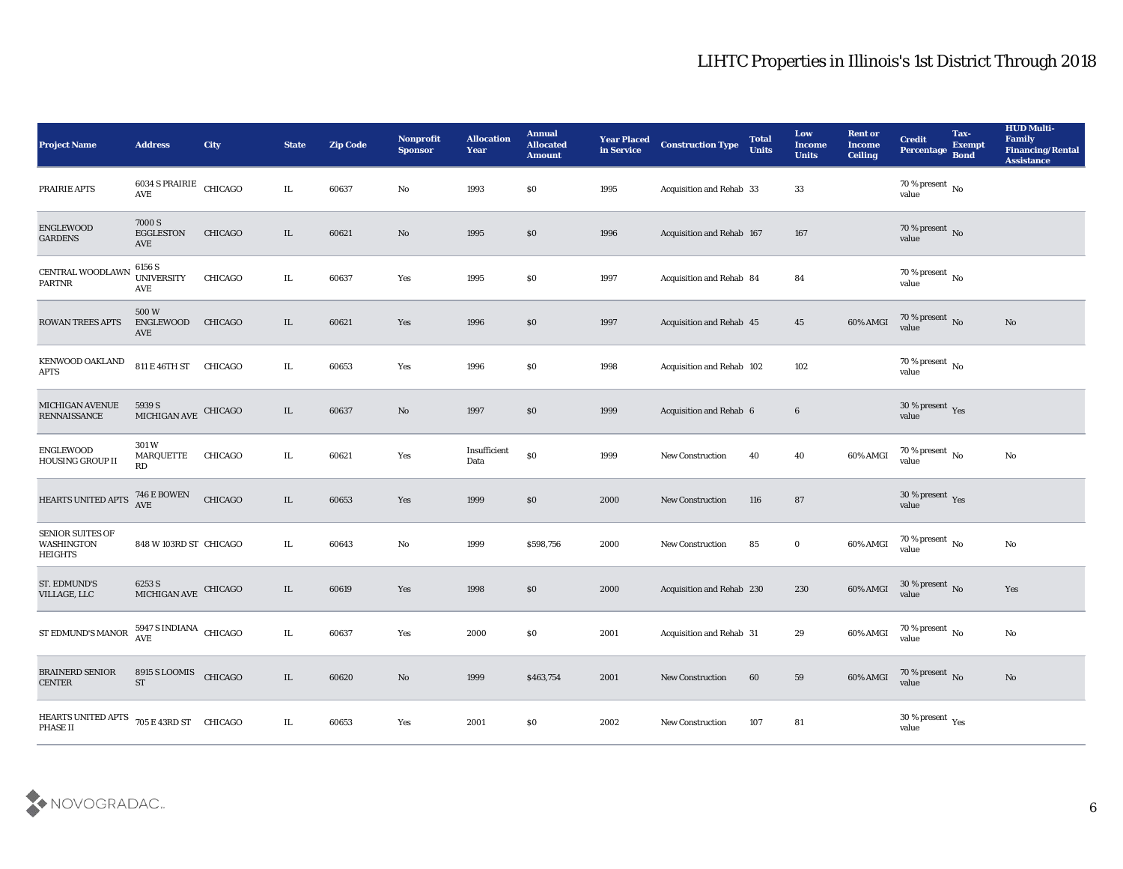| Project Name                                            | <b>Address</b>                                 | <b>City</b>    | <b>State</b> | <b>Zip Code</b> | Nonprofit<br><b>Sponsor</b> | <b>Allocation</b><br><b>Year</b> | <b>Annual</b><br><b>Allocated</b><br><b>Amount</b> | <b>Year Placed</b><br>in Service | <b>Construction Type</b>        | <b>Total</b><br><b>Units</b> | Low<br><b>Income</b><br><b>Units</b> | <b>Rent or</b><br><b>Income</b><br><b>Ceiling</b> | <b>Credit</b><br>Percentage        | Tax-<br><b>Exempt</b><br><b>Bond</b> | <b>HUD Multi-</b><br>Family<br><b>Financing/Rental</b><br><b>Assistance</b> |
|---------------------------------------------------------|------------------------------------------------|----------------|--------------|-----------------|-----------------------------|----------------------------------|----------------------------------------------------|----------------------------------|---------------------------------|------------------------------|--------------------------------------|---------------------------------------------------|------------------------------------|--------------------------------------|-----------------------------------------------------------------------------|
| PRAIRIE APTS                                            | 6034 S PRAIRIE CHICAGO<br>$\operatorname{AVE}$ |                | IL           | 60637           | No                          | 1993                             | \$0                                                | 1995                             | Acquisition and Rehab 33        |                              | 33                                   |                                                   | 70 % present $\,$ No $\,$<br>value |                                      |                                                                             |
| ENGLEWOOD<br><b>GARDENS</b>                             | 7000 S<br><b>EGGLESTON</b><br>AVE              | CHICAGO        | IL           | 60621           | No                          | 1995                             | \$0                                                | 1996                             | Acquisition and Rehab 167       |                              | 167                                  |                                                   | $70\,\%$ present $\,$ No value     |                                      |                                                                             |
| CENTRAL WOODLAWN<br>$\ensuremath{\mathsf{PARTNR}}$      | 6156 S<br><b>UNIVERSITY</b><br>AVE             | CHICAGO        | IL           | 60637           | Yes                         | 1995                             | \$0                                                | 1997                             | Acquisition and Rehab 84        |                              | 84                                   |                                                   | 70 % present $\,$ No $\,$<br>value |                                      |                                                                             |
| <b>ROWAN TREES APTS</b>                                 | 500W<br><b>ENGLEWOOD</b><br>AVE                | <b>CHICAGO</b> | IL           | 60621           | Yes                         | 1996                             | \$0                                                | 1997                             | <b>Acquisition and Rehab 45</b> |                              | 45                                   | 60% AMGI                                          | $70\,\%$ present $\,$ No value     |                                      | No                                                                          |
| KENWOOD OAKLAND<br><b>APTS</b>                          | 811 E 46TH ST CHICAGO                          |                | IL           | 60653           | Yes                         | 1996                             | \$0                                                | 1998                             | Acquisition and Rehab 102       |                              | 102                                  |                                                   | $70\,\%$ present $\,$ No value     |                                      |                                                                             |
| <b>MICHIGAN AVENUE</b><br><b>RENNAISSANCE</b>           | 5939 S<br>MICHIGAN AVE CHICAGO                 |                | IL           | 60637           | No                          | 1997                             | \$0                                                | 1999                             | Acquisition and Rehab 6         |                              | $6\phantom{.}6$                      |                                                   | $30\,\%$ present $\,$ Yes value    |                                      |                                                                             |
| <b>ENGLEWOOD</b><br>HOUSING GROUP II                    | 301 W<br><b>MARQUETTE</b><br>RD                | CHICAGO        | IL           | 60621           | Yes                         | Insufficient<br>Data             | $\$0$                                              | 1999                             | <b>New Construction</b>         | 40                           | 40                                   | 60% AMGI                                          | $70\,\%$ present $\,$ No value     |                                      | $\mathbf{N}\mathbf{o}$                                                      |
| HEARTS UNITED APTS                                      | <b>746 E BOWEN</b><br>AVE                      | CHICAGO        | $\rm IL$     | 60653           | Yes                         | 1999                             | \$0                                                | 2000                             | <b>New Construction</b>         | 116                          | 87                                   |                                                   | $30\,\%$ present $\,$ Yes value    |                                      |                                                                             |
| <b>SENIOR SUITES OF</b><br>WASHINGTON<br><b>HEIGHTS</b> | 848 W 103RD ST CHICAGO                         |                | IL           | 60643           | No                          | 1999                             | \$598,756                                          | 2000                             | New Construction                | 85                           | $\bf{0}$                             | 60% AMGI                                          | $70\,\%$ present $\,$ No value     |                                      | $\mathbf{N}\mathbf{o}$                                                      |
| <b>ST. EDMUND'S</b><br>VILLAGE, LLC                     | 6253 S<br>MICHIGAN AVE                         | CHICAGO        | $\rm IL$     | 60619           | Yes                         | 1998                             | \$0                                                | 2000                             | Acquisition and Rehab 230       |                              | 230                                  | 60% AMGI                                          | $30\,\%$ present $\,$ No value     |                                      | Yes                                                                         |
| ST EDMUND'S MANOR                                       | $5947$ S INDIANA $\,$ CHICAGO AVE              |                | IL           | 60637           | Yes                         | 2000                             | \$0                                                | 2001                             | Acquisition and Rehab 31        |                              | 29                                   | 60% AMGI                                          | 70 % present $\,$ No $\,$<br>value |                                      | No                                                                          |
| <b>BRAINERD SENIOR</b><br>${\tt CENTER}$                | 8915 S LOOMIS<br>${\rm ST}$                    | CHICAGO        | $\rm IL$     | 60620           | $\rm\thinspace No$          | 1999                             | \$463,754                                          | 2001                             | New Construction                | 60                           | 59                                   | 60% AMGI                                          | $70\,\%$ present $\,$ No value     |                                      | $\mathbf{N}\mathbf{o}$                                                      |
| HEARTS UNITED APTS<br>PHASE II                          | 705 E 43RD ST CHICAGO                          |                | IL           | 60653           | $\mathbf{Yes}$              | 2001                             | $\$0$                                              | 2002                             | New Construction                | 107                          | 81                                   |                                                   | $30\,\%$ present $\,$ Yes value    |                                      |                                                                             |

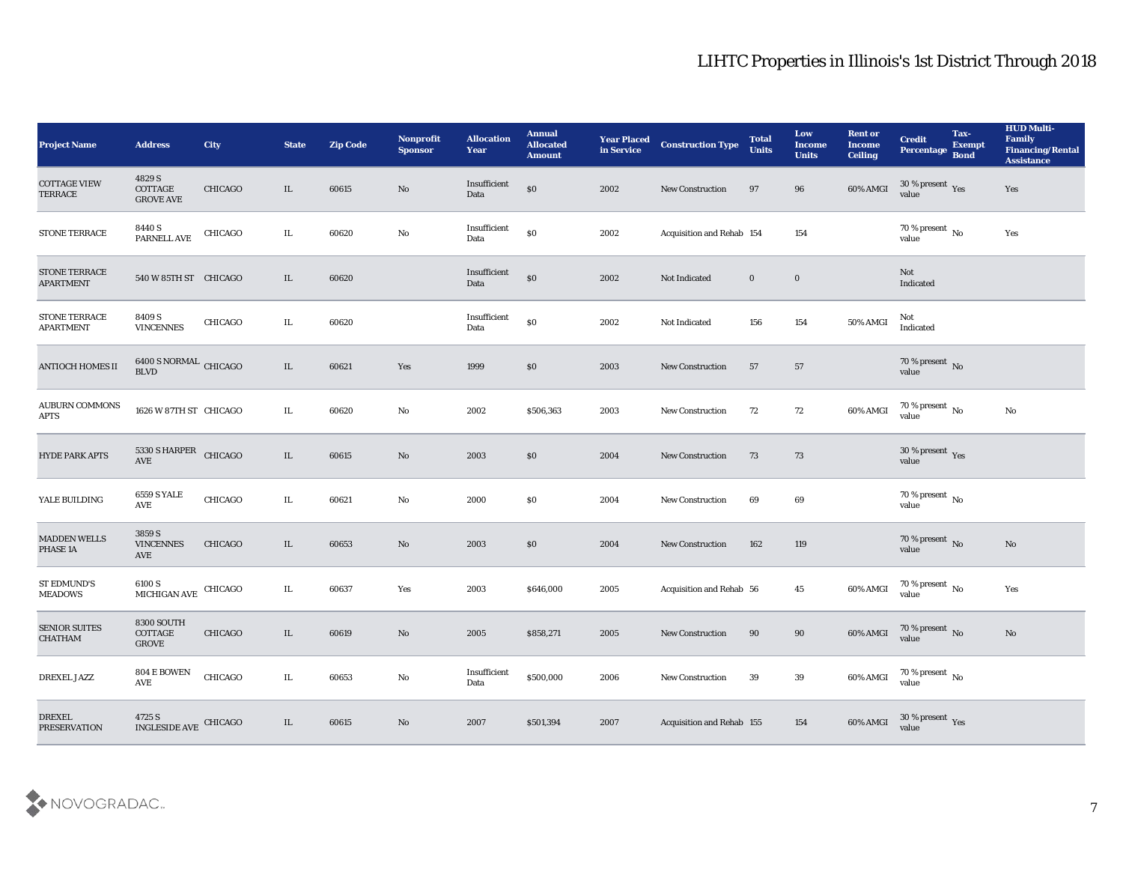| <b>Project Name</b>                    | <b>Address</b>                                         | <b>City</b>    | <b>State</b> | <b>Zip Code</b> | Nonprofit<br><b>Sponsor</b> | <b>Allocation</b><br><b>Year</b>            | <b>Annual</b><br><b>Allocated</b><br><b>Amount</b> | <b>Year Placed</b><br>in Service | <b>Construction Type</b>  | <b>Total</b><br><b>Units</b> | Low<br><b>Income</b><br><b>Units</b> | <b>Rent or</b><br><b>Income</b><br>Ceiling | <b>Credit</b><br>Percentage     | Tax-<br><b>Exempt</b><br><b>Bond</b> | <b>HUD Multi-</b><br>Family<br><b>Financing/Rental</b><br><b>Assistance</b> |
|----------------------------------------|--------------------------------------------------------|----------------|--------------|-----------------|-----------------------------|---------------------------------------------|----------------------------------------------------|----------------------------------|---------------------------|------------------------------|--------------------------------------|--------------------------------------------|---------------------------------|--------------------------------------|-----------------------------------------------------------------------------|
| <b>COTTAGE VIEW</b><br><b>TERRACE</b>  | 4829 S<br>$\operatorname{COTTAGE}$<br><b>GROVE AVE</b> | <b>CHICAGO</b> | IL           | 60615           | No                          | Insufficient<br>Data                        | $\$0$                                              | 2002                             | <b>New Construction</b>   | 97                           | 96                                   | 60% AMGI                                   | $30\,\%$ present $\,$ Yes value |                                      | Yes                                                                         |
| STONE TERRACE                          | $8440\rm ~S$ PARNELL AVE                               | CHICAGO        | IL.          | 60620           | $\mathbf {No}$              | Insufficient<br>Data                        | $\$0$                                              | 2002                             | Acquisition and Rehab 154 |                              | 154                                  |                                            | $70$ % present $\,$ No value    |                                      | Yes                                                                         |
| STONE TERRACE<br><b>APARTMENT</b>      | 540 W 85TH ST CHICAGO                                  |                | IL           | 60620           |                             | Insufficient<br>Data                        | $\$0$                                              | 2002                             | Not Indicated             | $\bf{0}$                     | $\bf{0}$                             |                                            | Not<br>Indicated                |                                      |                                                                             |
| STONE TERRACE<br><b>APARTMENT</b>      | 8409 S<br><b>VINCENNES</b>                             | CHICAGO        | IL           | 60620           |                             | Insufficient<br>Data                        | $\$0$                                              | 2002                             | Not Indicated             | 156                          | 154                                  | 50% AMGI                                   | Not<br>Indicated                |                                      |                                                                             |
| ANTIOCH HOMES II                       | $6400$ S NORMAL $\,$ CHICAGO BLVD                      |                | $\rm IL$     | 60621           | Yes                         | 1999                                        | \$0                                                | 2003                             | <b>New Construction</b>   | 57                           | 57                                   |                                            | $70\,\%$ present $\,$ No value  |                                      |                                                                             |
| <b>AUBURN COMMONS</b><br><b>APTS</b>   | 1626 W 87TH ST CHICAGO                                 |                | IL.          | 60620           | $\rm\thinspace No$          | 2002                                        | \$506,363                                          | 2003                             | New Construction          | 72                           | 72                                   | 60% AMGI                                   | $70\,\%$ present $\,$ No value  |                                      | $\mathbf {No}$                                                              |
| <b>HYDE PARK APTS</b>                  | 5330 S HARPER CHICAGO<br>$\operatorname{AVE}$          |                | IL           | 60615           | $\mathbf{N}\mathbf{o}$      | 2003                                        | \$0                                                | 2004                             | <b>New Construction</b>   | 73                           | 73                                   |                                            | $30\,\%$ present $\,$ Yes value |                                      |                                                                             |
| YALE BUILDING                          | <b>6559 S YALE</b><br>AVE                              | CHICAGO        | IL.          | 60621           | No                          | 2000                                        | \$0                                                | 2004                             | <b>New Construction</b>   | 69                           | 69                                   |                                            | $70\,\%$ present $\,$ No value  |                                      |                                                                             |
| <b>MADDEN WELLS</b><br>PHASE 1A        | $3859\,\mathrm{S}$<br><b>VINCENNES</b><br>AVE          | <b>CHICAGO</b> | IL           | 60653           | $\mathbf{N}\mathbf{o}$      | 2003                                        | \$0\$                                              | 2004                             | <b>New Construction</b>   | 162                          | 119                                  |                                            | $70\,\%$ present $\,$ No value  |                                      | $\mathbf{N}\mathbf{o}$                                                      |
| <b>ST EDMUND'S</b><br><b>MEADOWS</b>   | 6100 S<br>MICHIGAN AVE                                 | CHICAGO        | IL           | 60637           | Yes                         | 2003                                        | \$646,000                                          | 2005                             | Acquisition and Rehab 56  |                              | 45                                   | $60\%$ AMGI                                | $70\,\%$ present $\,$ No value  |                                      | Yes                                                                         |
| <b>SENIOR SUITES</b><br><b>CHATHAM</b> | 8300 SOUTH<br>COTTAGE<br><b>GROVE</b>                  | <b>CHICAGO</b> | IL           | 60619           | No                          | 2005                                        | \$858,271                                          | 2005                             | <b>New Construction</b>   | 90                           | 90                                   | 60% AMGI                                   | $70\,\%$ present $\,$ No value  |                                      | No                                                                          |
| DREXEL JAZZ                            | 804 E BOWEN<br>AVE                                     | CHICAGO        | $\rm IL$     | 60653           | $\mathbf {No}$              | $\label{lem:optimal} In sufficient$<br>Data | \$500,000                                          | 2006                             | <b>New Construction</b>   | 39                           | $39\,$                               | 60% AMGI                                   | $70\,\%$ present $\,$ No value  |                                      |                                                                             |
| <b>DREXEL</b><br><b>PRESERVATION</b>   | 4725 S<br>INGLESIDE AVE                                | CHICAGO        | $\rm IL$     | 60615           | $\mathbf{N}\mathbf{o}$      | 2007                                        | \$501,394                                          | 2007                             | Acquisition and Rehab 155 |                              | $154\,$                              | 60% AMGI                                   | $30\,\%$ present $\,$ Yes value |                                      |                                                                             |